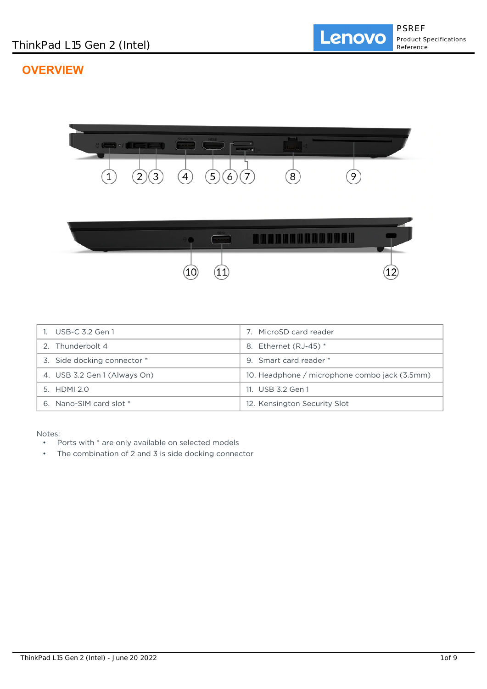# **OVERVIEW**



| 1. USB-C 3.2 Gen 1           | 7. MicroSD card reader                        |
|------------------------------|-----------------------------------------------|
| 2. Thunderbolt 4             | Ethernet (RJ-45) *<br>8.                      |
| 3. Side docking connector *  | 9. Smart card reader *                        |
| 4. USB 3.2 Gen 1 (Always On) | 10. Headphone / microphone combo jack (3.5mm) |
| $5.$ HDMI $2.0$              | 11. USB 3.2 Gen 1                             |
| 6. Nano-SIM card slot *      | 12. Kensington Security Slot                  |

Notes:

- Ports with \* are only available on selected models
- The combination of 2 and 3 is side docking connector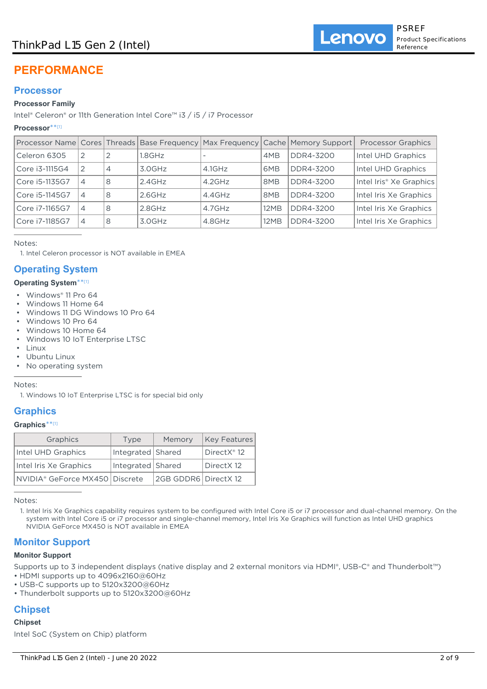# ThinkPad L15 Gen 2 (Intel)

# **PERFORMANCE**

## **Processor**

### **Processor Family**

Intel® Celeron® or 11th Generation Intel Core™ i3 / i5 / i7 Processor

#### **Processor**\*\* [1]

|                |                |                |           |           |                 | Processor Name Cores Threads Base Frequency Max Frequency Cache Memory Support | <b>Processor Graphics</b>           |
|----------------|----------------|----------------|-----------|-----------|-----------------|--------------------------------------------------------------------------------|-------------------------------------|
| Celeron 6305   | 2              | 2              | .8GHz     |           | 4MB             | DDR4-3200                                                                      | Intel UHD Graphics                  |
| Core i3-1115G4 | 2              | $\overline{4}$ | 3.0GHz    | $4.1$ GHz | 6MB             | DDR4-3200                                                                      | Intel UHD Graphics                  |
| Core i5-1135G7 | 4              | 8              | $2.4$ GHz | $4.2$ GHz | 8MB             | DDR4-3200                                                                      | Intel Iris <sup>®</sup> Xe Graphics |
| Core i5-1145G7 | $\overline{4}$ | 8              | $2.6$ GHz | $4.4$ GHz | 8 <sub>MB</sub> | DDR4-3200                                                                      | Intel Iris Xe Graphics              |
| Core i7-1165G7 | 4              | 8              | $2.8$ GHz | $4.7$ GHz | 12MB            | DDR4-3200                                                                      | Intel Iris Xe Graphics              |
| Core i7-1185G7 | 4              | 8              | 3.0GHz    | 4.8GHz    | 12MB            | DDR4-3200                                                                      | Intel Iris Xe Graphics              |

Notes:

1. Intel Celeron processor is NOT available in EMEA

# **Operating System**

#### **Operating System**\*\* [1]

- Windows® 11 Pro 64
- Windows 11 Home 64
- Windows 11 DG Windows 10 Pro 64
- Windows 10 Pro 64
- Windows 10 Home 64
- Windows 10 IoT Enterprise LTSC
- Linux
- Ubuntu Linux
- No operating system

Notes:

1. Windows 10 IoT Enterprise LTSC is for special bid only

# **Graphics**

#### **Graphics**\*\* [1]

| Graphics                       | Type              | Memory               | Key Features |  |
|--------------------------------|-------------------|----------------------|--------------|--|
| Intel UHD Graphics             | Integrated Shared |                      | DirectX® 12  |  |
| Intel Iris Xe Graphics         | Integrated Shared |                      | DirectX 12   |  |
| NVIDIA® GeForce MX450 Discrete |                   | 2GB GDDR6 DirectX 12 |              |  |

Notes:

Intel Iris Xe Graphics capability requires system to be configured with Intel Core i5 or i7 processor and dual-channel memory. On the 1. system with Intel Core i5 or i7 processor and single-channel memory, Intel Iris Xe Graphics will function as Intel UHD graphics NVIDIA GeForce MX450 is NOT available in EMEA

# **Monitor Support**

#### **Monitor Support**

Supports up to 3 independent displays (native display and 2 external monitors via HDMI®, USB-C® and Thunderbolt™)

- HDMI supports up to 4096x2160@60Hz
- USB-C supports up to 5120x3200@60Hz
- Thunderbolt supports up to 5120x3200@60Hz

# **Chipset**

## **Chipset**

Intel SoC (System on Chip) platform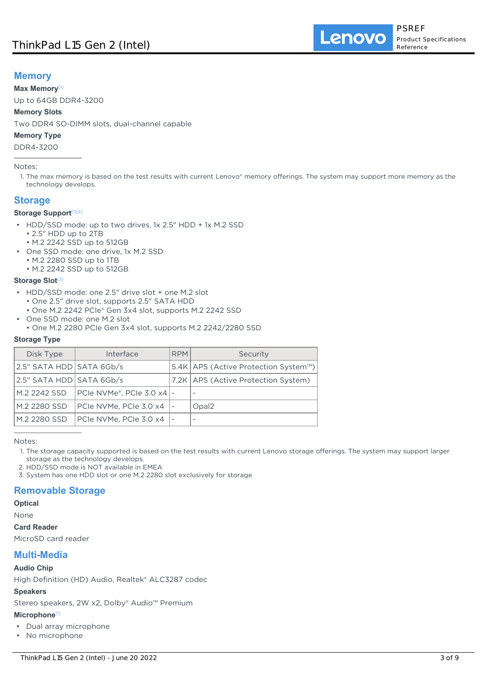# **Memory**

### **Max Memory**[1]

Up to 64GB DDR4-3200

## **Memory Slots**

Two DDR4 SO-DIMM slots, dual-channel capable

#### **Memory Type**

DDR4-3200

#### Notes:

1. The max memory is based on the test results with current Lenovo® memory offerings. The system may support more memory as the technology develops.

# **Storage**

### **Storage Support**[1][2]

- HDD/SSD mode: up to two drives, 1x 2.5" HDD + 1x M.2 SSD
	- 2.5" HDD up to 2TB
- M.2 2242 SSD up to 512GB
- One SSD mode: one drive, 1x M.2 SSD
	- M.2 2280 SSD up to 1TB
	- M.2 2242 SSD up to 512GB

#### **Storage Slot**[3]

- HDD/SSD mode: one 2.5" drive slot + one M.2 slot
	- One 2.5" drive slot, supports 2.5" SATA HDD
	- One M.2 2242 PCIe® Gen 3x4 slot, supports M.2 2242 SSD
- One SSD mode: one M.2 slot
- One M.2 2280 PCIe Gen 3x4 slot, supports M.2 2242/2280 SSD

#### **Storage Type**

| Disk Type                | Interface                   | <b>RPM</b> | Security                               |
|--------------------------|-----------------------------|------------|----------------------------------------|
| 2.5" SATA HDD SATA 6Gb/s |                             |            | 5.4K   APS (Active Protection System™) |
| 2.5" SATA HDD SATA 6Gb/s |                             |            | 7.2K   APS (Active Protection System)  |
| M.2 2242 SSD             | PCIe NVMe®, PCIe 3.0 x4   - |            | $\overline{\phantom{a}}$               |
| M.2 2280 SSD             | PCIe NVMe, PCIe 3.0 x4      |            | Opal <sub>2</sub>                      |
| M.2 2280 SSD             | PCIe NVMe, PCIe 3.0 x4      |            | $\overline{\phantom{a}}$               |

Notes:

2. HDD/SSD mode is NOT available in EMEA

3. System has one HDD slot or one M.2 2280 slot exclusively for storage

# **Removable Storage**

## **Optical**

None

**Card Reader**

MicroSD card reader

## **Multi-Media**

#### **Audio Chip**

High Definition (HD) Audio, Realtek® ALC3287 codec

#### **Speakers**

Stereo speakers, 2W x2, Dolby® Audio™ Premium

#### **Microphone**[1]

- Dual array microphone
- No microphone

<sup>1.</sup> The storage capacity supported is based on the test results with current Lenovo storage offerings. The system may support larger storage as the technology develops.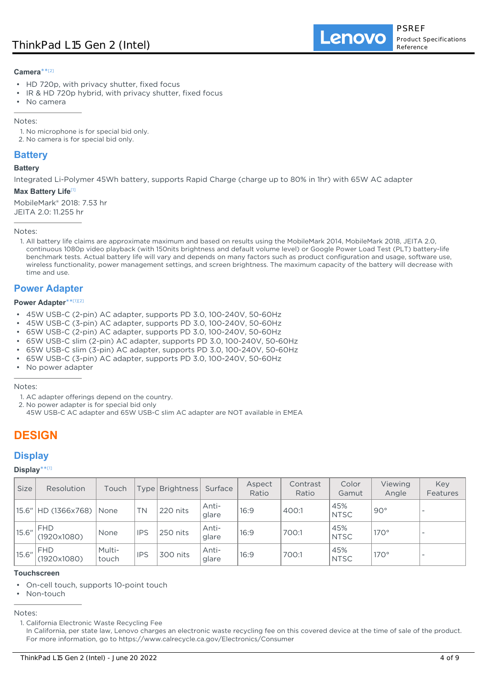### **Camera**\*\* [2]

- HD 720p, with privacy shutter, fixed focus
- IR & HD 720p hybrid, with privacy shutter, fixed focus
- No camera

Notes:

- 1. No microphone is for special bid only.
- 2. No camera is for special bid only.

# **Battery**

#### **Battery**

Integrated Li-Polymer 45Wh battery, supports Rapid Charge (charge up to 80% in 1hr) with 65W AC adapter

#### **Max Battery Life**[1]

MobileMark® 2018: 7.53 hr JEITA 2.0: 11.255 hr

Notes:

1. All battery life claims are approximate maximum and based on results using the MobileMark 2014, MobileMark 2018, JEITA 2.0, continuous 1080p video playback (with 150nits brightness and default volume level) or Google Power Load Test (PLT) battery-life benchmark tests. Actual battery life will vary and depends on many factors such as product configuration and usage, software use, wireless functionality, power management settings, and screen brightness. The maximum capacity of the battery will decrease with time and use.

# **Power Adapter**

#### **Power Adapter**\*\* [1][2]

- 45W USB-C (2-pin) AC adapter, supports PD 3.0, 100-240V, 50-60Hz
- 45W USB-C (3-pin) AC adapter, supports PD 3.0, 100-240V, 50-60Hz
- 65W USB-C (2-pin) AC adapter, supports PD 3.0, 100-240V, 50-60Hz
- 65W USB-C slim (2-pin) AC adapter, supports PD 3.0, 100-240V, 50-60Hz
- 65W USB-C slim (3-pin) AC adapter, supports PD 3.0, 100-240V, 50-60Hz
- 65W USB-C (3-pin) AC adapter, supports PD 3.0, 100-240V, 50-60Hz
- No power adapter

Notes:

- 1. AC adapter offerings depend on the country.
- 2. No power adapter is for special bid only
- 45W USB-C AC adapter and 65W USB-C slim AC adapter are NOT available in EMEA

# **DESIGN**

# **Display**

**Display**\*\* [1]

| <b>Size</b> | Resolution                   | Touch           |            | Type   Brightness | Surface        | Aspect<br>Ratio | Contrast<br>Ratio | Color<br>Gamut     | Viewing<br>Angle | Key<br>Features |
|-------------|------------------------------|-----------------|------------|-------------------|----------------|-----------------|-------------------|--------------------|------------------|-----------------|
|             | 15.6"   HD (1366x768)   None |                 | <b>TN</b>  | 220 nits          | Anti-<br>glare | 16:9            | 400:1             | 45%<br><b>NTSC</b> | $90^\circ$       |                 |
| 15.6"       | <b>FHD</b><br>(1920x1080)    | None            | <b>IPS</b> | 250 nits          | Anti-<br>glare | 16:9            | 700:1             | 45%<br><b>NTSC</b> | $170^\circ$      |                 |
| 15.6"       | <b>IFHD</b><br>(1920x1080)   | Multi-<br>touch | <b>IPS</b> | 300 nits          | Anti-<br>glare | 16:9            | 700:1             | 45%<br><b>NTSC</b> | $170^\circ$      |                 |

#### **Touchscreen**

- On-cell touch, supports 10-point touch
- Non-touch

Notes:

In California, per state law, Lenovo charges an electronic waste recycling fee on this covered device at the time of sale of the product. For more information, go to https://www.calrecycle.ca.gov/Electronics/Consumer

<sup>1.</sup> California Electronic Waste Recycling Fee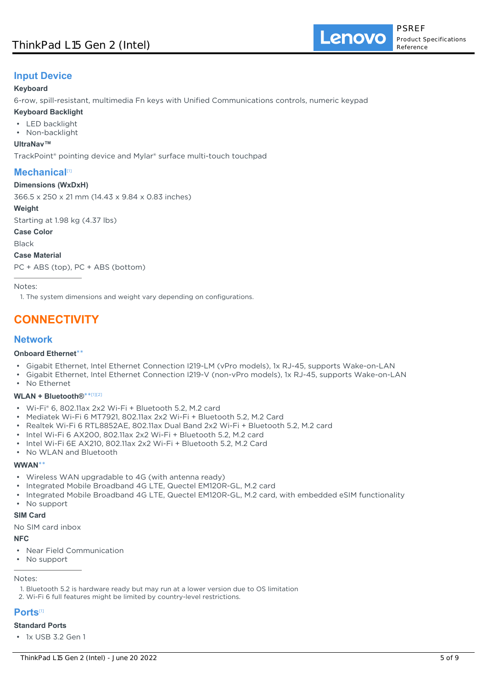# **Input Device**

### **Keyboard**

6-row, spill-resistant, multimedia Fn keys with Unified Communications controls, numeric keypad

- **Keyboard Backlight**
- LED backlight
- Non-backlight

#### **UltraNav™**

TrackPoint® pointing device and Mylar® surface multi-touch touchpad

# **Mechanical**<sup>[1]</sup>

#### **Dimensions (WxDxH)**

366.5 x 250 x 21 mm (14.43 x 9.84 x 0.83 inches)

#### **Weight**

Starting at 1.98 kg (4.37 lbs)

**Case Color**

Black

**Case Material**

PC + ABS (top), PC + ABS (bottom)

Notes:

1. The system dimensions and weight vary depending on configurations.

# **CONNECTIVITY**

# **Network**

#### **Onboard Ethernet**\*\*

- Gigabit Ethernet, Intel Ethernet Connection I219-LM (vPro models), 1x RJ-45, supports Wake-on-LAN
- Gigabit Ethernet, Intel Ethernet Connection I219-V (non-vPro models), 1x RJ-45, supports Wake-on-LAN
- No Ethernet

## **WLAN + Bluetooth®**\*\* [1][2]

- Wi-Fi® 6, 802.11ax 2x2 Wi-Fi + Bluetooth 5.2, M.2 card
- Mediatek Wi-Fi 6 MT7921, 802.11ax 2x2 Wi-Fi + Bluetooth 5.2, M.2 Card
- Realtek Wi-Fi 6 RTL8852AE, 802.11ax Dual Band 2x2 Wi-Fi + Bluetooth 5.2, M.2 card
- Intel Wi-Fi 6 AX200, 802.11ax 2x2 Wi-Fi + Bluetooth 5.2, M.2 card
- Intel Wi-Fi 6E AX210, 802.11ax 2x2 Wi-Fi + Bluetooth 5.2, M.2 Card
- No WLAN and Bluetooth

#### **WWAN**\*\*

- Wireless WAN upgradable to 4G (with antenna ready)
- Integrated Mobile Broadband 4G LTE, Quectel EM120R-GL, M.2 card
- Integrated Mobile Broadband 4G LTE, Quectel EM120R-GL, M.2 card, with embedded eSIM functionality
- No support

#### **SIM Card**

No SIM card inbox

## **NFC**

- Near Field Communication
- No support

## Notes:

- 1. Bluetooth 5.2 is hardware ready but may run at a lower version due to OS limitation
- 2. Wi-Fi 6 full features might be limited by country-level restrictions.

# **Ports**[1]

## **Standard Ports**

• 1x USB 3.2 Gen 1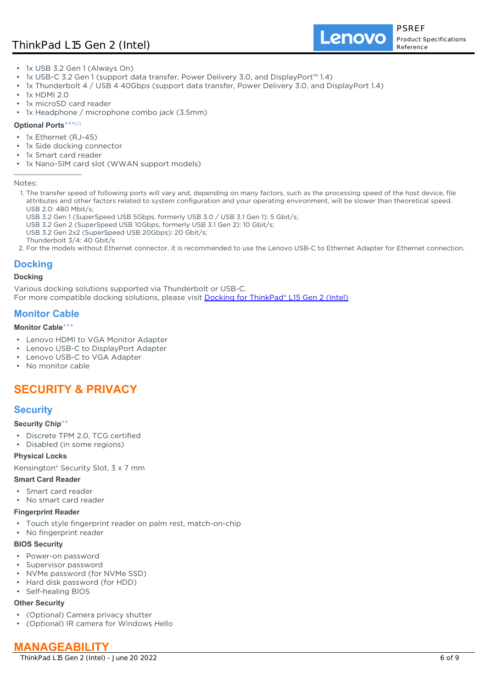# ThinkPad L15 Gen 2 (Intel)

Lenovo

- 1x USB 3.2 Gen 1 (Always On)
- 1x USB-C 3.2 Gen 1 (support data transfer, Power Delivery 3.0, and DisplayPort™ 1.4)
- 1x Thunderbolt 4 / USB 4 40Gbps (support data transfer, Power Delivery 3.0, and DisplayPort 1.4)
- 1x HDMI 2.0
- 1x microSD card reader
- 1x Headphone / microphone combo jack (3.5mm)

#### **Optional Ports**\*\*\* [2]

- 1x Ethernet (RJ-45)
- 1x Side docking connector
- 1x Smart card reader
- 1x Nano-SIM card slot (WWAN support models)

Notes:

- 1. The transfer speed of following ports will vary and, depending on many factors, such as the processing speed of the host device, file attributes and other factors related to system configuration and your operating environment, will be slower than theoretical speed. USB 2.0: 480 Mbit/s;
	- USB 3.2 Gen 1 (SuperSpeed USB 5Gbps, formerly USB 3.0 / USB 3.1 Gen 1): 5 Gbit/s;
	- USB 3.2 Gen 2 (SuperSpeed USB 10Gbps, formerly USB 3.1 Gen 2): 10 Gbit/s;
- USB 3.2 Gen 2x2 (SuperSpeed USB 20Gbps): 20 Gbit/s;
- Thunderbolt 3/4: 40 Gbit/s
- 2. For the models without Ethernet connector, it is recommended to use the Lenovo USB-C to Ethernet Adapter for Ethernet connection.

## **Docking**

#### **Docking**

Various docking solutions supported via Thunderbolt or USB-C.

For more compatible docking solutions, please visit **[Docking for ThinkPad® L15 Gen 2 \(Intel\)](https://smartfind.lenovo.com/accessories/#/search?categoryL1Name=Docking&categoryL2Names&pageIndex=1&pageSize=40&query=20X3)** 

## **Monitor Cable**

#### **Monitor Cable**\*\*\*

- Lenovo HDMI to VGA Monitor Adapter
- Lenovo USB-C to DisplayPort Adapter
- Lenovo USB-C to VGA Adapter
- No monitor cable

# **SECURITY & PRIVACY**

## **Security**

#### **Security Chip**\*\*

- Discrete TPM 2.0, TCG certified
- Disabled (in some regions)

#### **Physical Locks**

Kensington® Security Slot, 3 x 7 mm

#### **Smart Card Reader**

- Smart card reader
- No smart card reader

#### **Fingerprint Reader**

- Touch style fingerprint reader on palm rest, match-on-chip
- No fingerprint reader

#### **BIOS Security**

- Power-on password
- Supervisor password
- NVMe password (for NVMe SSD)
- Hard disk password (for HDD)
- Self-healing BIOS

## **Other Security**

- (Optional) Camera privacy shutter
- (Optional) IR camera for Windows Hello

# **MANAGEABILITY**

ThinkPad L15 Gen 2 (Intel) - June 20 2022 6 of 9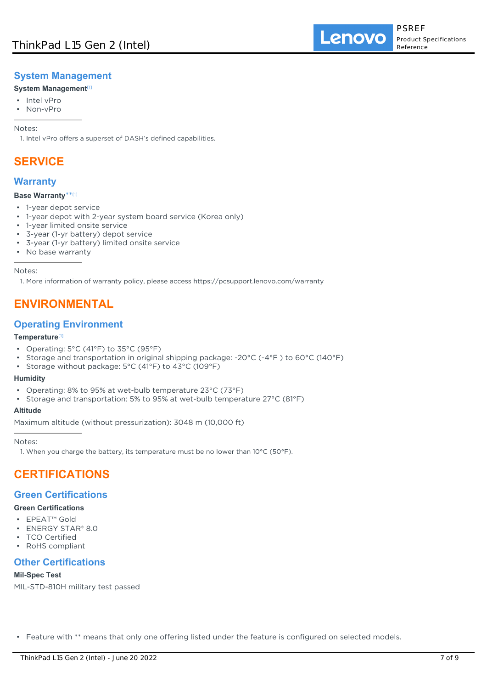# **System Management**

## **System Management**[1]

- Intel vPro
- Non-vPro

Notes:

1. Intel vPro offers a superset of DASH's defined capabilities.

# **SERVICE**

# **Warranty**

### **Base Warranty**\*\* [1]

- 1-year depot service
- 1-year depot with 2-year system board service (Korea only)
- 1-year limited onsite service
- 3-year (1-yr battery) depot service
- 3-year (1-yr battery) limited onsite service
- No base warranty

Notes:

1. More information of warranty policy, please access https://pcsupport.lenovo.com/warranty

# **ENVIRONMENTAL**

# **Operating Environment**

### **Temperature**[1]

- Operating: 5°C (41°F) to 35°C (95°F)
- Storage and transportation in original shipping package: -20°C (-4°F ) to 60°C (140°F)
- Storage without package: 5°C (41°F) to 43°C (109°F)

## **Humidity**

- Operating: 8% to 95% at wet-bulb temperature 23°C (73°F)
- Storage and transportation: 5% to 95% at wet-bulb temperature 27°C (81°F)

#### **Altitude**

Maximum altitude (without pressurization): 3048 m (10,000 ft)

Notes:

1. When you charge the battery, its temperature must be no lower than 10°C (50°F).

# **CERTIFICATIONS**

# **Green Certifications**

## **Green Certifications**

- EPEAT™ Gold
- ENERGY STAR® 8.0
- **TCO Certified**
- RoHS compliant

# **Other Certifications**

## **Mil-Spec Test**

MIL-STD-810H military test passed

• Feature with \*\* means that only one offering listed under the feature is configured on selected models.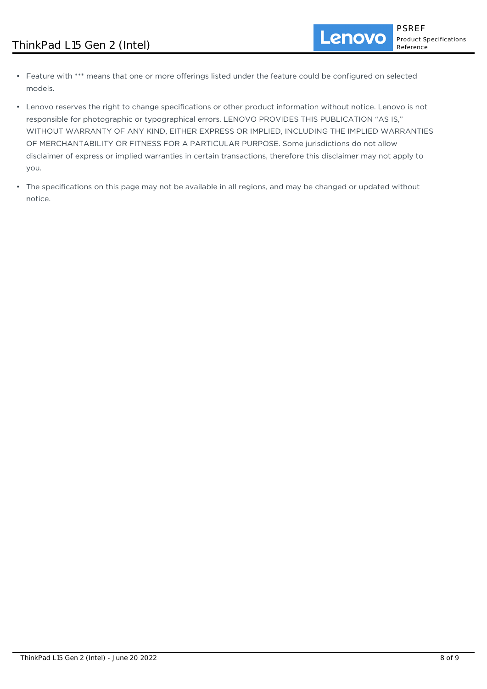- Feature with \*\*\* means that one or more offerings listed under the feature could be configured on selected models.
- Lenovo reserves the right to change specifications or other product information without notice. Lenovo is not responsible for photographic or typographical errors. LENOVO PROVIDES THIS PUBLICATION "AS IS," WITHOUT WARRANTY OF ANY KIND, EITHER EXPRESS OR IMPLIED, INCLUDING THE IMPLIED WARRANTIES OF MERCHANTABILITY OR FITNESS FOR A PARTICULAR PURPOSE. Some jurisdictions do not allow disclaimer of express or implied warranties in certain transactions, therefore this disclaimer may not apply to you.
- The specifications on this page may not be available in all regions, and may be changed or updated without notice.